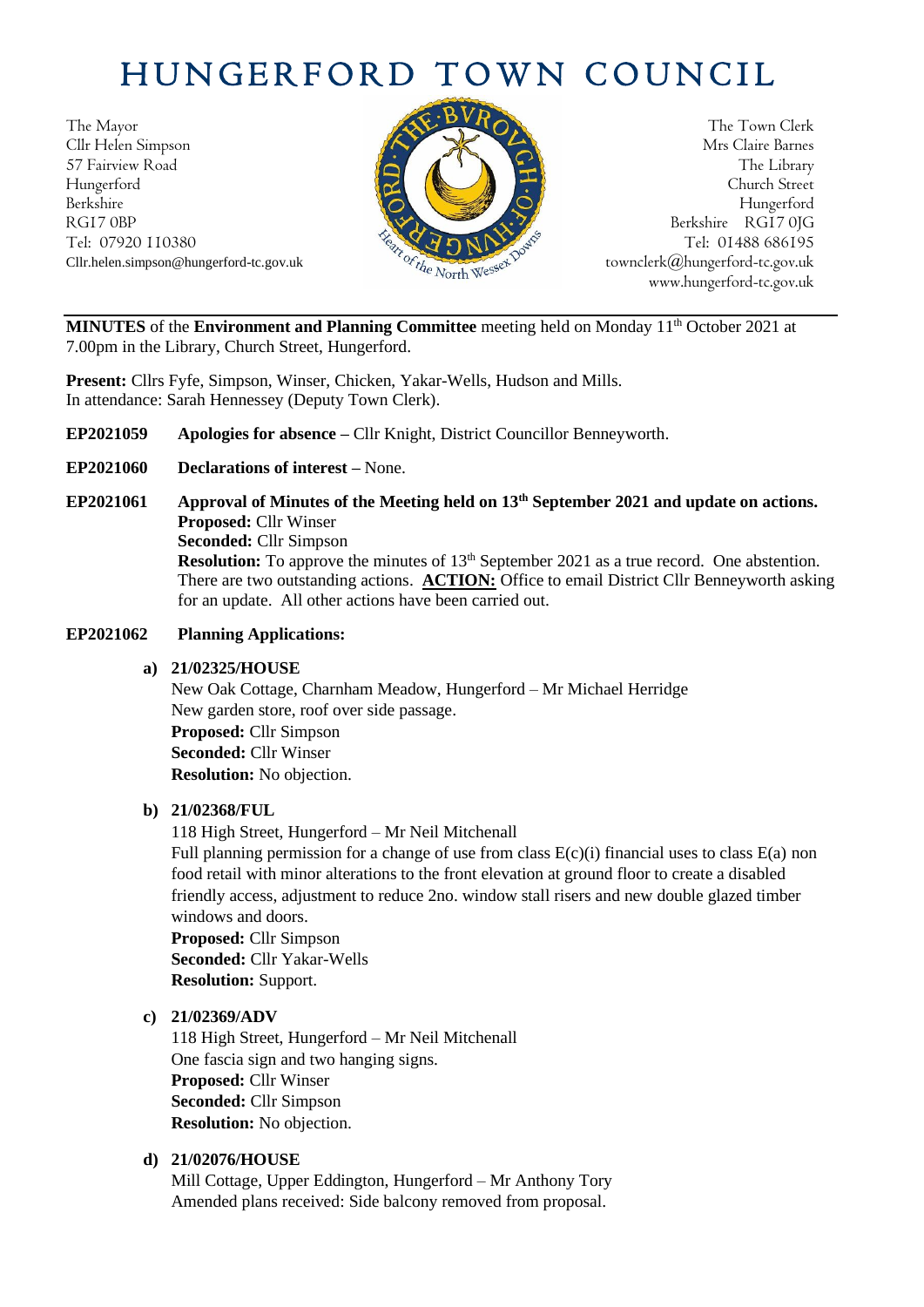# HUNGERFORD TOWN COUNCIL

The Mayor The Town Clerk Cllr Helen Simpson Mrs Claire Barnes 57 Fairview Road The Library (1999) and the Library of the Library (1999) and the Library of the Library of the Library of the Library of the Library of the Library of the Library of the Library of the Library of the Libra Hungerford Church Street Berkshire Hungerford RG17 0BP Berkshire RG17 0JG Cllr.helen.simpson@hungerford-tc.gov.uk



Tel: 07920 110380 Tel: 07920 110380 Tel: 01488 686195<br>Cllr.helen.simpson@hungerford-tc.gov.uk bownclerk@hungerford-tc.gov.uk https://www.hungerford-tc.gov.uk www.hungerford-tc.gov.uk

MINUTES of the Environment and Planning Committee meeting held on Monday 11<sup>th</sup> October 2021 at 7.00pm in the Library, Church Street, Hungerford.

**Present:** Cllrs Fyfe, Simpson, Winser, Chicken, Yakar-Wells, Hudson and Mills. In attendance: Sarah Hennessey (Deputy Town Clerk).

- **EP2021059 Apologies for absence –** Cllr Knight, District Councillor Benneyworth.
- **EP2021060 Declarations of interest –** None.
- **EP2021061 Approval of Minutes of the Meeting held on 13th September 2021 and update on actions. Proposed:** Cllr Winser **Seconded:** Cllr Simpson **Resolution:** To approve the minutes of 13<sup>th</sup> September 2021 as a true record. One abstention. There are two outstanding actions. **ACTION:** Office to email District Cllr Benneyworth asking for an update. All other actions have been carried out.

### **EP2021062 Planning Applications:**

### **a) 21/02325/HOUSE**

New Oak Cottage, Charnham Meadow, Hungerford – Mr Michael Herridge New garden store, roof over side passage. **Proposed:** Cllr Simpson **Seconded:** Cllr Winser **Resolution:** No objection.

## **b) 21/02368/FUL**

118 High Street, Hungerford – Mr Neil Mitchenall

Full planning permission for a change of use from class  $E(c)(i)$  financial uses to class  $E(a)$  non food retail with minor alterations to the front elevation at ground floor to create a disabled friendly access, adjustment to reduce 2no. window stall risers and new double glazed timber windows and doors.

**Proposed:** Cllr Simpson **Seconded:** Cllr Yakar-Wells **Resolution:** Support.

# **c) 21/02369/ADV**

118 High Street, Hungerford – Mr Neil Mitchenall One fascia sign and two hanging signs. **Proposed:** Cllr Winser **Seconded:** Cllr Simpson **Resolution:** No objection.

# **d) 21/02076/HOUSE**

Mill Cottage, Upper Eddington, Hungerford – Mr Anthony Tory Amended plans received: Side balcony removed from proposal.